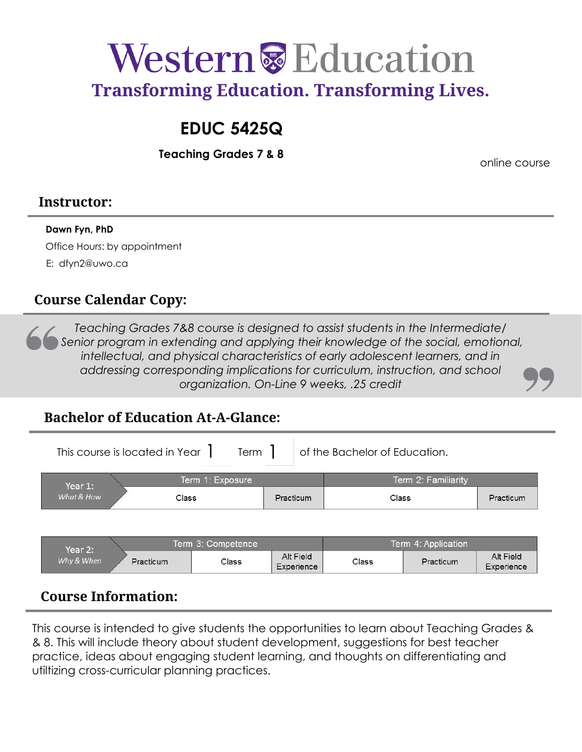

# **EDUC 5425Q**

**Teaching Grades 7 & 8**

online course

### **Instructor:**

### **Dawn Fyn, PhD**

Office Hours: by appointment E: [dfyn2@uwo.ca](mailto:dfyn2@uwo.ca)

### **Course Calendar Copy:**

*Teaching Grades 7&8 course is designed to assist students in the Intermediate/ Senior program in extending and applying their knowledge of the social, emotional,*  intellectual, and physical characteristics of early adolescent learners, and in *addressing corresponding implications for curriculum, instruction, and school organization. On-Line 9 weeks, .25 credit* 

### **Bachelor of Education At-A-Glance:**

This course is located in Year  $\parallel$  Term  $\parallel$  of the Bachelor of Education.  $Term \}$ 

| Year 1:    | Term 1: Exposure |           | Term 2: Familiarity |           |  |
|------------|------------------|-----------|---------------------|-----------|--|
| What & How | Class            | Practicum | Class               | Practicum |  |

| Year 2:    | Term 3: Competence |       |                         | Term 4: Application |           |                         |
|------------|--------------------|-------|-------------------------|---------------------|-----------|-------------------------|
| Why & When | Practicum          | Class | Alt Field<br>Experience | Class               | Practicum | Alt Field<br>Experience |

### **Course Information:**

This course is intended to give students the opportunities to learn about Teaching Grades & & 8. This will include theory about student development, suggestions for best teacher practice, ideas about engaging student learning, and thoughts on differentiating and utiltizing cross-curricular planning practices.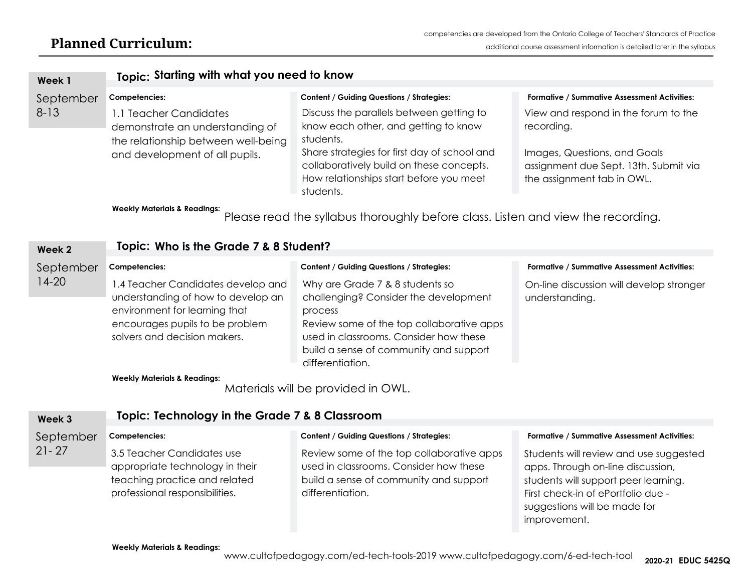| Week 1                                                                                                                      | Topic: Starting with what you need to know                                                                                                                                   |                                                                                                                                                                                                                                          |                                                                                                     |  |  |  |
|-----------------------------------------------------------------------------------------------------------------------------|------------------------------------------------------------------------------------------------------------------------------------------------------------------------------|------------------------------------------------------------------------------------------------------------------------------------------------------------------------------------------------------------------------------------------|-----------------------------------------------------------------------------------------------------|--|--|--|
| September<br>Competencies:                                                                                                  |                                                                                                                                                                              | <b>Content / Guiding Questions / Strategies:</b>                                                                                                                                                                                         | <b>Formative / Summative Assessment Activities:</b>                                                 |  |  |  |
| $8 - 13$                                                                                                                    | 1.1 Teacher Candidates<br>demonstrate an understanding of<br>the relationship between well-being                                                                             | Discuss the parallels between getting to<br>know each other, and getting to know<br>students.                                                                                                                                            | View and respond in the forum to the<br>recording.                                                  |  |  |  |
|                                                                                                                             | and development of all pupils.                                                                                                                                               | Share strategies for first day of school and<br>collaboratively build on these concepts.<br>How relationships start before you meet<br>students.                                                                                         | Images, Questions, and Goals<br>assignment due Sept. 13th. Submit via<br>the assignment tab in OWL. |  |  |  |
| <b>Weekly Materials &amp; Readings:</b><br>Please read the syllabus thoroughly before class. Listen and view the recording. |                                                                                                                                                                              |                                                                                                                                                                                                                                          |                                                                                                     |  |  |  |
| Week 2                                                                                                                      | Topic: Who is the Grade 7 & 8 Student?                                                                                                                                       |                                                                                                                                                                                                                                          |                                                                                                     |  |  |  |
| September                                                                                                                   | Competencies:                                                                                                                                                                | <b>Content / Guiding Questions / Strategies:</b>                                                                                                                                                                                         | <b>Formative / Summative Assessment Activities:</b>                                                 |  |  |  |
| $14-20$                                                                                                                     | 1.4 Teacher Candidates develop and<br>understanding of how to develop an<br>environment for learning that<br>encourages pupils to be problem<br>solvers and decision makers. | Why are Grade 7 & 8 students so<br>challenging? Consider the development<br>process<br>Review some of the top collaborative apps<br>used in classrooms. Consider how these<br>build a sense of community and support<br>differentiation. | On-line discussion will develop stronger<br>understanding.                                          |  |  |  |
|                                                                                                                             | <b>Weekly Materials &amp; Readings:</b>                                                                                                                                      |                                                                                                                                                                                                                                          |                                                                                                     |  |  |  |

Materials will be provided in OWL.

| Week 3    | Topic: Technology in the Grade 7 & 8 Classroom                                                                                   |                                                                                                                                                   |                                                                                                                                                                                                           |  |  |
|-----------|----------------------------------------------------------------------------------------------------------------------------------|---------------------------------------------------------------------------------------------------------------------------------------------------|-----------------------------------------------------------------------------------------------------------------------------------------------------------------------------------------------------------|--|--|
| September | Competencies:                                                                                                                    | <b>Content / Guiding Questions / Strategies:</b>                                                                                                  | Formative / Summative Assessment Activities:                                                                                                                                                              |  |  |
| $21 - 27$ | 3.5 Teacher Candidates use<br>appropriate technology in their<br>teaching practice and related<br>professional responsibilities. | Review some of the top collaborative apps<br>used in classrooms. Consider how these<br>build a sense of community and support<br>differentiation. | Students will review and use suggested<br>apps. Through on-line discussion,<br>students will support peer learning.<br>First check-in of ePortfolio due -<br>suggestions will be made for<br>improvement. |  |  |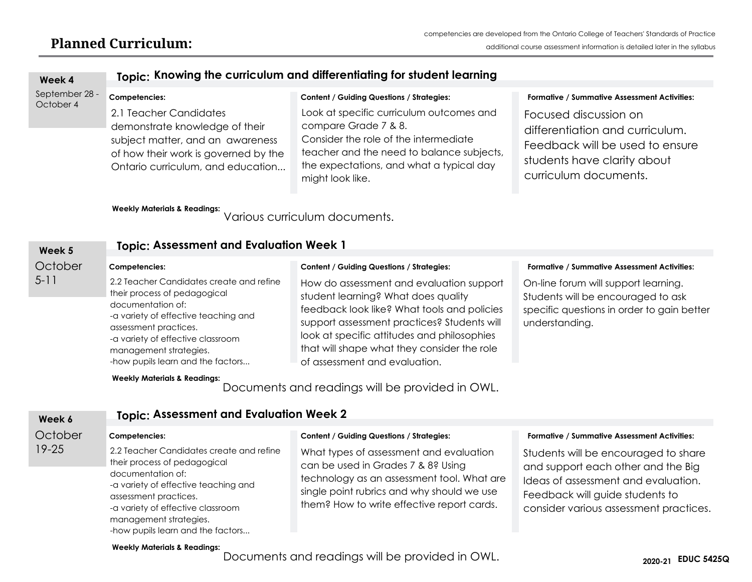| Week 4                      | Topic: Knowing the curriculum and differentiating for student learning                                                                                                                                                                                             |                                                                                                                                                                                                                                                                                                              |                                                                                                                                                                                                     |  |  |  |
|-----------------------------|--------------------------------------------------------------------------------------------------------------------------------------------------------------------------------------------------------------------------------------------------------------------|--------------------------------------------------------------------------------------------------------------------------------------------------------------------------------------------------------------------------------------------------------------------------------------------------------------|-----------------------------------------------------------------------------------------------------------------------------------------------------------------------------------------------------|--|--|--|
| September 28 -<br>October 4 | Competencies:<br>2.1 Teacher Candidates<br>demonstrate knowledge of their<br>subject matter, and an awareness<br>of how their work is governed by the<br>Ontario curriculum, and education<br><b>Weekly Materials &amp; Readings:</b>                              | <b>Content / Guiding Questions / Strategies:</b><br>Look at specific curriculum outcomes and<br>compare Grade 7 & 8.<br>Consider the role of the intermediate<br>teacher and the need to balance subjects,<br>the expectations, and what a typical day<br>might look like.<br>Various curriculum documents.  | Formative / Summative Assessment Activities:<br>Focused discussion on<br>differentiation and curriculum.<br>Feedback will be used to ensure<br>students have clarity about<br>curriculum documents. |  |  |  |
| Week 5                      | <b>Topic: Assessment and Evaluation Week 1</b>                                                                                                                                                                                                                     |                                                                                                                                                                                                                                                                                                              |                                                                                                                                                                                                     |  |  |  |
| October                     | Competencies:                                                                                                                                                                                                                                                      | <b>Content / Guiding Questions / Strategies:</b>                                                                                                                                                                                                                                                             | Formative / Summative Assessment Activities:                                                                                                                                                        |  |  |  |
| $5 - 11$                    | 2.2 Teacher Candidates create and refine<br>their process of pedagogical<br>documentation of:<br>-a variety of effective teaching and<br>assessment practices.<br>-a variety of effective classroom<br>management strategies.<br>-how pupils learn and the factors | How do assessment and evaluation support<br>student learning? What does quality<br>feedback look like? What tools and policies<br>support assessment practices? Students will<br>look at specific attitudes and philosophies<br>that will shape what they consider the role<br>of assessment and evaluation. | On-line forum will support learning.<br>Students will be encouraged to ask<br>specific questions in order to gain better<br>understanding.                                                          |  |  |  |
|                             | <b>Weekly Materials &amp; Readings:</b><br>Documents and readings will be provided in OWL.                                                                                                                                                                         |                                                                                                                                                                                                                                                                                                              |                                                                                                                                                                                                     |  |  |  |
| Week 6                      | <b>Topic: Assessment and Evaluation Week 2</b>                                                                                                                                                                                                                     |                                                                                                                                                                                                                                                                                                              |                                                                                                                                                                                                     |  |  |  |
| October                     | Competencies:                                                                                                                                                                                                                                                      | <b>Content / Guiding Questions / Strategies:</b>                                                                                                                                                                                                                                                             | Formative / Summative Assessment Activities:                                                                                                                                                        |  |  |  |
| $19 - 25$                   | 2.2 Teacher Candidates create and refine<br>their process of pedagogical<br>documentation of:<br>-a variety of effective teaching and<br>assessment practices.<br>-a variety of effective classroom                                                                | What types of assessment and evaluation<br>can be used in Grades 7 & 8? Using<br>technology as an assessment tool. What are<br>single point rubrics and why should we use<br>them? How to write effective report cards.                                                                                      | Students will be encouraged to share<br>and support each other and the Big<br>Ideas of assessment and evaluation.<br>Feedback will guide students to<br>consider various assessment practices.      |  |  |  |

#### **Weekly Materials & Readings:**

-how pupils learn and the factors...

management strategies.

Documents and readings will be provided in OWL.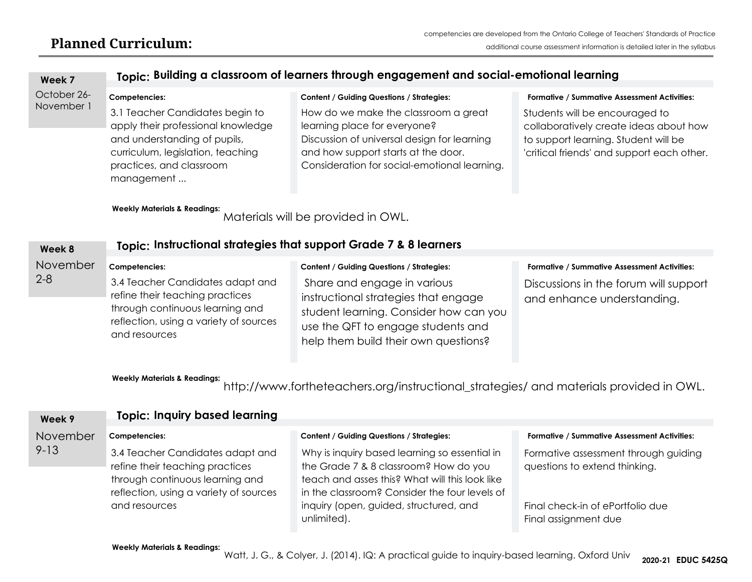| Week 7      | Topic: Building a classroom of learners through engagement and social-emotional learning                                                                                             |                                                                                                                                                                                                            |                                                                                                                                                                |  |  |  |
|-------------|--------------------------------------------------------------------------------------------------------------------------------------------------------------------------------------|------------------------------------------------------------------------------------------------------------------------------------------------------------------------------------------------------------|----------------------------------------------------------------------------------------------------------------------------------------------------------------|--|--|--|
| October 26- | Competencies:                                                                                                                                                                        | <b>Content / Guiding Questions / Strategies:</b>                                                                                                                                                           | <b>Formative / Summative Assessment Activities:</b>                                                                                                            |  |  |  |
| November 1  | 3.1 Teacher Candidates begin to<br>apply their professional knowledge<br>and understanding of pupils,<br>curriculum, legislation, teaching<br>practices, and classroom<br>management | How do we make the classroom a great<br>learning place for everyone?<br>Discussion of universal design for learning<br>and how support starts at the door.<br>Consideration for social-emotional learning. | Students will be encouraged to<br>collaboratively create ideas about how<br>to support learning. Student will be<br>'critical friends' and support each other. |  |  |  |
|             | <b>Weekly Materials &amp; Readings:</b>                                                                                                                                              | Materials will be provided in OWL.                                                                                                                                                                         |                                                                                                                                                                |  |  |  |
| Week 8      | Topic: Instructional strategies that support Grade 7 & 8 learners                                                                                                                    |                                                                                                                                                                                                            |                                                                                                                                                                |  |  |  |
| November    | Competencies:                                                                                                                                                                        | <b>Content / Guiding Questions / Strategies:</b>                                                                                                                                                           | Formative / Summative Assessment Activities:                                                                                                                   |  |  |  |
| $2 - 8$     | 3.4 Teacher Candidates adapt and<br>refine their teaching practices<br>through continuous learning and<br>reflection, using a variety of sources<br>and resources                    | Share and engage in various<br>instructional strategies that engage<br>student learning. Consider how can you<br>use the QFT to engage students and<br>help them build their own questions?                | Discussions in the forum will support<br>and enhance understanding.                                                                                            |  |  |  |
|             | <b>Weekly Materials &amp; Readings:</b>                                                                                                                                              | http://www.fortheteachers.org/instructional_strategies/ and materials provided in OWL.                                                                                                                     |                                                                                                                                                                |  |  |  |
| Week 9      | <b>Topic: Inquiry based learning</b>                                                                                                                                                 |                                                                                                                                                                                                            |                                                                                                                                                                |  |  |  |
| November    | Competencies:                                                                                                                                                                        | <b>Content / Guiding Questions / Strategies:</b>                                                                                                                                                           | Formative / Summative Assessment Activities:                                                                                                                   |  |  |  |
| $9 - 13$    | 3.4 Teacher Candidates adapt and<br>refine their teaching practices<br>through continuous learning and<br>reflection, using a variety of sources                                     | Why is inquiry based learning so essential in<br>the Grade 7 & 8 classroom? How do you<br>teach and asses this? What will this look like<br>in the classroom? Consider the four levels of                  | Formative assessment through guiding<br>questions to extend thinking.                                                                                          |  |  |  |
|             | and resources                                                                                                                                                                        | inquiry (open, guided, structured, and<br>unlimited).                                                                                                                                                      | Final check-in of ePortfolio due<br>Final assignment due                                                                                                       |  |  |  |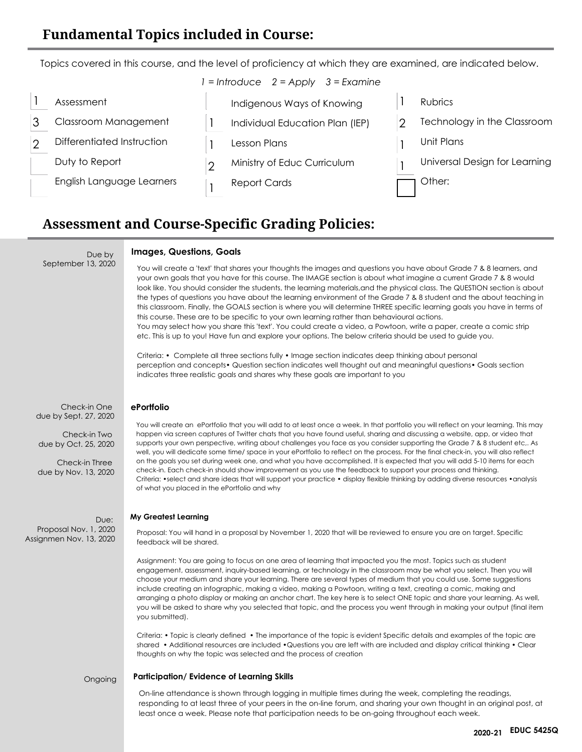Topics covered in this course, and the level of proficiency at which they are examined, are indicated below. *1 = Introduce 2 = Apply 3 = Examine*

| Assessment                 | Indigenous Ways of Knowing      | Rubrics                       |
|----------------------------|---------------------------------|-------------------------------|
| Classroom Management       | Individual Education Plan (IEP) | Technology in the Classroom   |
| Differentiated Instruction | Lesson Plans                    | Unit Plans                    |
| Duty to Report             | Ministry of Educ Curriculum     | Universal Design for Learning |
| English Language Learners  | <b>Report Cards</b>             | Other:                        |

### **Assessment and Course-Specific Grading Policies:**

#### **Images, Questions, Goals**

You will create a 'text' that shares your thoughts the images and questions you have about Grade 7 & 8 learners, and your own goals that you have for this course. The IMAGE section is about what imagine a current Grade 7 & 8 would look like. You should consider the students, the learning materials,and the physical class. The QUESTION section is about the types of questions you have about the learning environment of the Grade 7 & 8 student and the about teaching in this classroom. Finally, the GOALS section is where you will determine THREE specific learning goals you have in terms of this course. These are to be specific to your own learning rather than behavioural actions. You may select how you share this 'text'. You could create a video, a Powtoon, write a paper, create a comic strip etc. This is up to you! Have fun and explore your options. The below criteria should be used to guide you.

Criteria: • Complete all three sections fully • Image section indicates deep thinking about personal perception and concepts• Question section indicates well thought out and meaningful questions• Goals section indicates three realistic goals and shares why these goals are important to you

Check-in One due by Sept. 27, 2020

Due by

September 13, 2020

Check-in Two due by Oct. 25, 2020

Check-in Three due by Nov. 13, 2020

Due: Proposal Nov. 1, 2020 **My Greatest Learning**<br>Proposal Nov. 1, 2020 **My Greatest Learning**<br>Assignmen Nov. 13, 2020 **Foodback will be sharp** 

#### **ePortfolio**

You will create an ePortfolio that you will add to at least once a week. In that portfolio you will reflect on your learning. This may happen via screen captures of Twitter chats that you have found useful, sharing and discussing a website, app, or video that supports your own perspective, writing about challenges you face as you consider supporting the Grade 7 & 8 student etc,. As well, you will dedicate some time/ space in your ePortfolio to reflect on the process. For the final check-in, you will also reflect on the goals you set during week one, and what you have accomplished. It is expected that you will add 5-10 items for each check-in. Each check-in should show improvement as you use the feedback to support your process and thinking. Criteria: •select and share ideas that will support your practice • display flexible thinking by adding diverse resources •analysis of what you placed in the ePortfolio and why

Proposal: You will hand in a proposal by November 1, 2020 that will be reviewed to ensure you are on target. Specific feedback will be shared.

Assignment: You are going to focus on one area of learning that impacted you the most. Topics such as student engagement, assessment, inquiry-based learning, or technology in the classroom may be what you select. Then you will choose your medium and share your learning. There are several types of medium that you could use. Some suggestions include creating an infographic, making a video, making a Powtoon, writing a text, creating a comic, making and arranging a photo display or making an anchor chart. The key here is to select ONE topic and share your learning. As well, you will be asked to share why you selected that topic, and the process you went through in making your output (final item you submitted).

Criteria: • Topic is clearly defined • The importance of the topic is evident Specific details and examples of the topic are shared • Additional resources are included •Questions you are left with are included and display critical thinking • Clear thoughts on why the topic was selected and the process of creation

Ongoing

#### **Participation/ Evidence of Learning Skills**

On-line attendance is shown through logging in multiple times during the week, completing the readings, responding to at least three of your peers in the on-line forum, and sharing your own thought in an original post, at least once a week. Please note that participation needs to be on-going throughout each week.